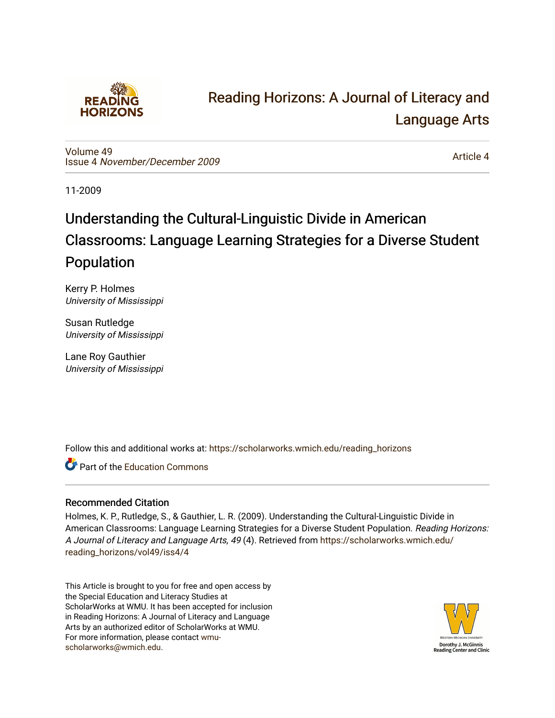

## [Reading Horizons: A Journal of Literacy and](https://scholarworks.wmich.edu/reading_horizons)  [Language Arts](https://scholarworks.wmich.edu/reading_horizons)

[Volume 49](https://scholarworks.wmich.edu/reading_horizons/vol49) Issue 4 [November/December 2009](https://scholarworks.wmich.edu/reading_horizons/vol49/iss4)

[Article 4](https://scholarworks.wmich.edu/reading_horizons/vol49/iss4/4) 

11-2009

# Understanding the Cultural-Linguistic Divide in American Classrooms: Language Learning Strategies for a Diverse Student Population

Kerry P. Holmes University of Mississippi

Susan Rutledge University of Mississippi

Lane Roy Gauthier University of Mississippi

Follow this and additional works at: [https://scholarworks.wmich.edu/reading\\_horizons](https://scholarworks.wmich.edu/reading_horizons?utm_source=scholarworks.wmich.edu%2Freading_horizons%2Fvol49%2Fiss4%2F4&utm_medium=PDF&utm_campaign=PDFCoverPages)

**C** Part of the [Education Commons](http://network.bepress.com/hgg/discipline/784?utm_source=scholarworks.wmich.edu%2Freading_horizons%2Fvol49%2Fiss4%2F4&utm_medium=PDF&utm_campaign=PDFCoverPages)

## Recommended Citation

Holmes, K. P., Rutledge, S., & Gauthier, L. R. (2009). Understanding the Cultural-Linguistic Divide in American Classrooms: Language Learning Strategies for a Diverse Student Population. Reading Horizons: A Journal of Literacy and Language Arts, 49 (4). Retrieved from [https://scholarworks.wmich.edu/](https://scholarworks.wmich.edu/reading_horizons/vol49/iss4/4?utm_source=scholarworks.wmich.edu%2Freading_horizons%2Fvol49%2Fiss4%2F4&utm_medium=PDF&utm_campaign=PDFCoverPages) [reading\\_horizons/vol49/iss4/4](https://scholarworks.wmich.edu/reading_horizons/vol49/iss4/4?utm_source=scholarworks.wmich.edu%2Freading_horizons%2Fvol49%2Fiss4%2F4&utm_medium=PDF&utm_campaign=PDFCoverPages)

This Article is brought to you for free and open access by the Special Education and Literacy Studies at ScholarWorks at WMU. It has been accepted for inclusion in Reading Horizons: A Journal of Literacy and Language Arts by an authorized editor of ScholarWorks at WMU. For more information, please contact [wmu](mailto:wmu-scholarworks@wmich.edu)[scholarworks@wmich.edu.](mailto:wmu-scholarworks@wmich.edu)

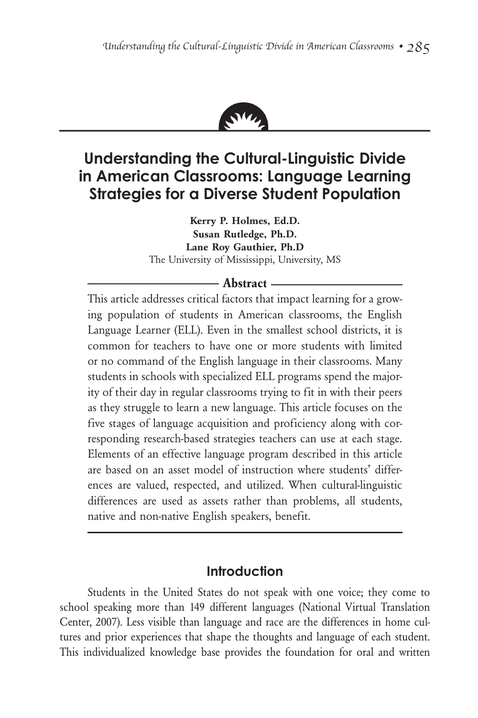

## **Understanding the Cultural-Linguistic Divide in American Classrooms: Language Learning Strategies for a Diverse Student Population**

**Kerry P. Holmes, Ed.D. Susan Rutledge, Ph.D. Lane Roy Gauthier, Ph.D** The University of Mississippi, University, MS

#### **Abstract**

This article addresses critical factors that impact learning for a growing population of students in American classrooms, the English Language Learner (ELL). Even in the smallest school districts, it is common for teachers to have one or more students with limited or no command of the English language in their classrooms. Many students in schools with specialized ELL programs spend the majority of their day in regular classrooms trying to fit in with their peers as they struggle to learn a new language. This article focuses on the five stages of language acquisition and proficiency along with corresponding research-based strategies teachers can use at each stage. Elements of an effective language program described in this article are based on an asset model of instruction where students' differences are valued, respected, and utilized. When cultural-linguistic differences are used as assets rather than problems, all students, native and non-native English speakers, benefit.

## **Introduction**

Students in the United States do not speak with one voice; they come to school speaking more than 149 different languages (National Virtual Translation Center, 2007). Less visible than language and race are the differences in home cultures and prior experiences that shape the thoughts and language of each student. This individualized knowledge base provides the foundation for oral and written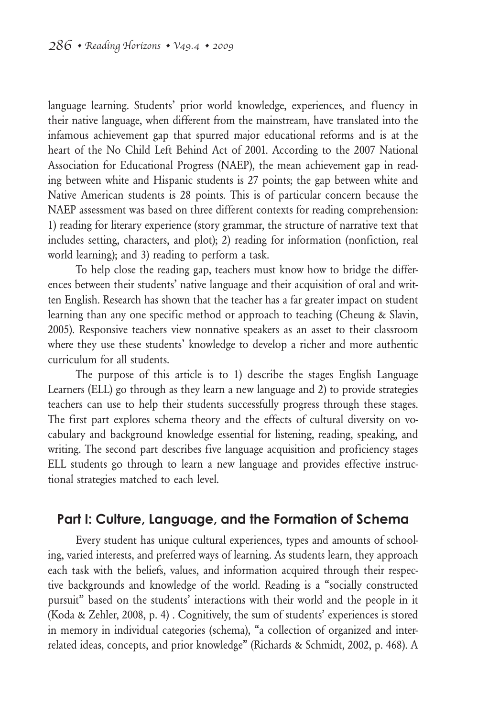language learning. Students' prior world knowledge, experiences, and fluency in their native language, when different from the mainstream, have translated into the infamous achievement gap that spurred major educational reforms and is at the heart of the No Child Left Behind Act of 2001. According to the 2007 National Association for Educational Progress (NAEP), the mean achievement gap in reading between white and Hispanic students is 27 points; the gap between white and Native American students is 28 points. This is of particular concern because the NAEP assessment was based on three different contexts for reading comprehension: 1) reading for literary experience (story grammar, the structure of narrative text that includes setting, characters, and plot); 2) reading for information (nonfiction, real world learning); and 3) reading to perform a task.

To help close the reading gap, teachers must know how to bridge the differences between their students' native language and their acquisition of oral and written English. Research has shown that the teacher has a far greater impact on student learning than any one specific method or approach to teaching (Cheung & Slavin, 2005). Responsive teachers view nonnative speakers as an asset to their classroom where they use these students' knowledge to develop a richer and more authentic curriculum for all students.

The purpose of this article is to 1) describe the stages English Language Learners (ELL) go through as they learn a new language and 2) to provide strategies teachers can use to help their students successfully progress through these stages. The first part explores schema theory and the effects of cultural diversity on vocabulary and background knowledge essential for listening, reading, speaking, and writing. The second part describes five language acquisition and proficiency stages ELL students go through to learn a new language and provides effective instructional strategies matched to each level.

### **Part I: Culture, Language, and the Formation of Schema**

Every student has unique cultural experiences, types and amounts of schooling, varied interests, and preferred ways of learning. As students learn, they approach each task with the beliefs, values, and information acquired through their respective backgrounds and knowledge of the world. Reading is a "socially constructed pursuit" based on the students' interactions with their world and the people in it (Koda & Zehler, 2008, p. 4) . Cognitively, the sum of students' experiences is stored in memory in individual categories (schema), "a collection of organized and interrelated ideas, concepts, and prior knowledge" (Richards & Schmidt, 2002, p. 468). A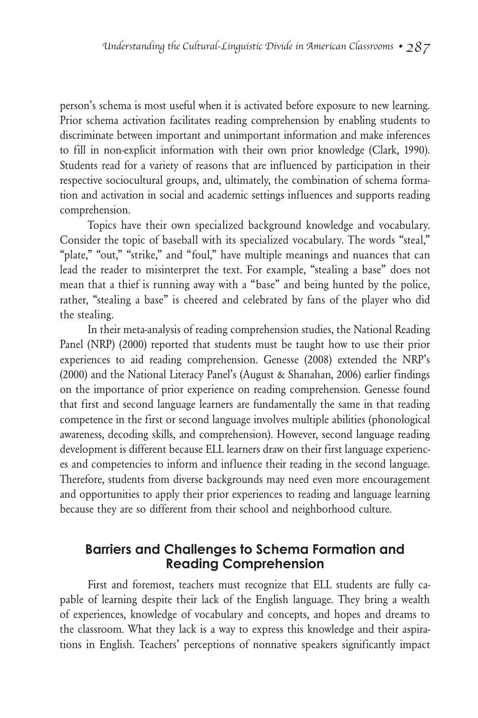person's schema is most useful when it is activated before exposure to new learning. Prior schema activation facilitates reading comprehension by enabling students to discriminate between important and unimportant information and make inferences to fill in non-explicit information with their own prior knowledge (Clark, 1990). Students read for a variety of reasons that are influenced by participation in their respective sociocultural groups, and, ultimately, the combination of schema formation and activation in social and academic settings influences and supports reading comprehension.

Topics have their own specialized background knowledge and vocabulary. Consider the topic of baseball with its specialized vocabulary. The words "steal," "plate," "out," "strike," and "foul," have multiple meanings and nuances that can lead the reader to misinterpret the text. For example, "stealing a base" does not mean that a thief is running away with a "base" and being hunted by the police, rather, "stealing a base" is cheered and celebrated by fans of the player who did the stealing.

In their meta-analysis of reading comprehension studies, the National Reading Panel (NRP) (2000) reported that students must be taught how to use their prior experiences to aid reading comprehension. Genesse (2008) extended the NRP's (2000) and the National Literacy Panel's (August & Shanahan, 2006) earlier findings on the importance of prior experience on reading comprehension. Genesse found that first and second language learners are fundamentally the same in that reading competence in the first or second language involves multiple abilities (phonological awareness, decoding skills, and comprehension). However, second language reading development is different because ELL learners draw on their first language experiences and competencies to inform and influence their reading in the second language. Therefore, students from diverse backgrounds may need even more encouragement and opportunities to apply their prior experiences to reading and language learning because they are so different from their school and neighborhood culture.

## **Barriers and Challenges to Schema Formation and Reading Comprehension**

First and foremost, teachers must recognize that ELL students are fully capable of learning despite their lack of the English language. They bring a wealth of experiences, knowledge of vocabulary and concepts, and hopes and dreams to the classroom. What they lack is a way to express this knowledge and their aspirations in English. Teachers' perceptions of nonnative speakers significantly impact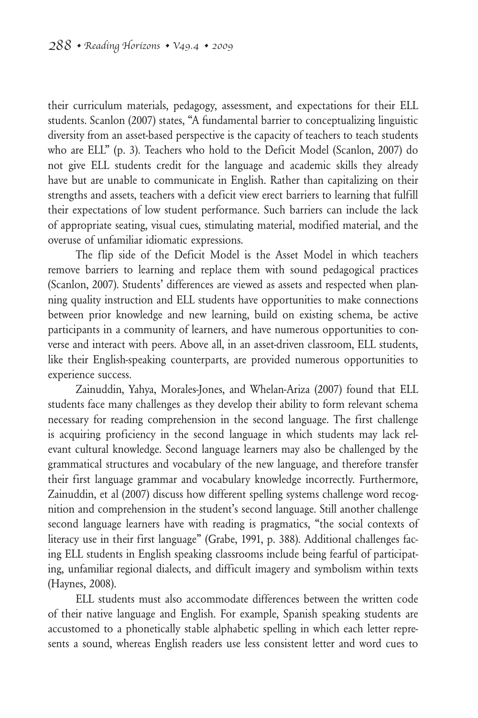their curriculum materials, pedagogy, assessment, and expectations for their ELL students. Scanlon (2007) states, "A fundamental barrier to conceptualizing linguistic diversity from an asset-based perspective is the capacity of teachers to teach students who are ELL" (p. 3). Teachers who hold to the Deficit Model (Scanlon, 2007) do not give ELL students credit for the language and academic skills they already have but are unable to communicate in English. Rather than capitalizing on their strengths and assets, teachers with a deficit view erect barriers to learning that fulfill their expectations of low student performance. Such barriers can include the lack of appropriate seating, visual cues, stimulating material, modified material, and the overuse of unfamiliar idiomatic expressions.

The flip side of the Deficit Model is the Asset Model in which teachers remove barriers to learning and replace them with sound pedagogical practices (Scanlon, 2007). Students' differences are viewed as assets and respected when planning quality instruction and ELL students have opportunities to make connections between prior knowledge and new learning, build on existing schema, be active participants in a community of learners, and have numerous opportunities to converse and interact with peers. Above all, in an asset-driven classroom, ELL students, like their English-speaking counterparts, are provided numerous opportunities to experience success.

Zainuddin, Yahya, Morales-Jones, and Whelan-Ariza (2007) found that ELL students face many challenges as they develop their ability to form relevant schema necessary for reading comprehension in the second language. The first challenge is acquiring proficiency in the second language in which students may lack relevant cultural knowledge. Second language learners may also be challenged by the grammatical structures and vocabulary of the new language, and therefore transfer their first language grammar and vocabulary knowledge incorrectly. Furthermore, Zainuddin, et al (2007) discuss how different spelling systems challenge word recognition and comprehension in the student's second language. Still another challenge second language learners have with reading is pragmatics, "the social contexts of literacy use in their first language" (Grabe, 1991, p. 388). Additional challenges facing ELL students in English speaking classrooms include being fearful of participating, unfamiliar regional dialects, and difficult imagery and symbolism within texts (Haynes, 2008).

ELL students must also accommodate differences between the written code of their native language and English. For example, Spanish speaking students are accustomed to a phonetically stable alphabetic spelling in which each letter represents a sound, whereas English readers use less consistent letter and word cues to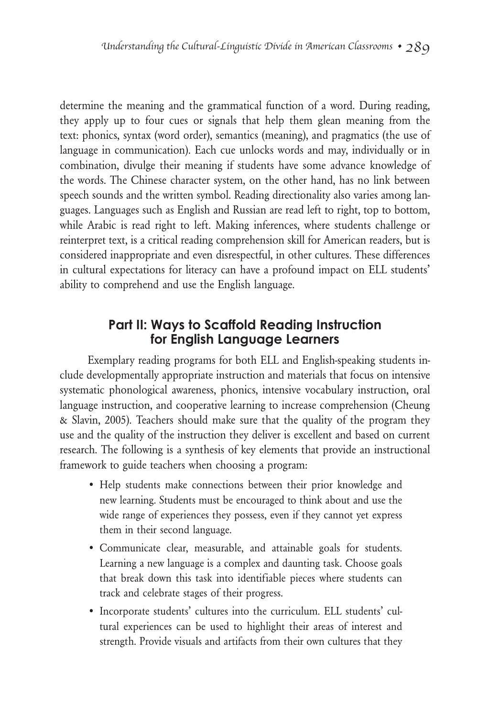determine the meaning and the grammatical function of a word. During reading, they apply up to four cues or signals that help them glean meaning from the text: phonics, syntax (word order), semantics (meaning), and pragmatics (the use of language in communication). Each cue unlocks words and may, individually or in combination, divulge their meaning if students have some advance knowledge of the words. The Chinese character system, on the other hand, has no link between speech sounds and the written symbol. Reading directionality also varies among languages. Languages such as English and Russian are read left to right, top to bottom, while Arabic is read right to left. Making inferences, where students challenge or reinterpret text, is a critical reading comprehension skill for American readers, but is considered inappropriate and even disrespectful, in other cultures. These differences in cultural expectations for literacy can have a profound impact on ELL students' ability to comprehend and use the English language.

## **Part II: Ways to Scaffold Reading Instruction for English Language Learners**

Exemplary reading programs for both ELL and English-speaking students include developmentally appropriate instruction and materials that focus on intensive systematic phonological awareness, phonics, intensive vocabulary instruction, oral language instruction, and cooperative learning to increase comprehension (Cheung & Slavin, 2005). Teachers should make sure that the quality of the program they use and the quality of the instruction they deliver is excellent and based on current research. The following is a synthesis of key elements that provide an instructional framework to guide teachers when choosing a program:

- Help students make connections between their prior knowledge and new learning. Students must be encouraged to think about and use the wide range of experiences they possess, even if they cannot yet express them in their second language.
- • Communicate clear, measurable, and attainable goals for students. Learning a new language is a complex and daunting task. Choose goals that break down this task into identifiable pieces where students can track and celebrate stages of their progress.
- • Incorporate students' cultures into the curriculum. ELL students' cultural experiences can be used to highlight their areas of interest and strength. Provide visuals and artifacts from their own cultures that they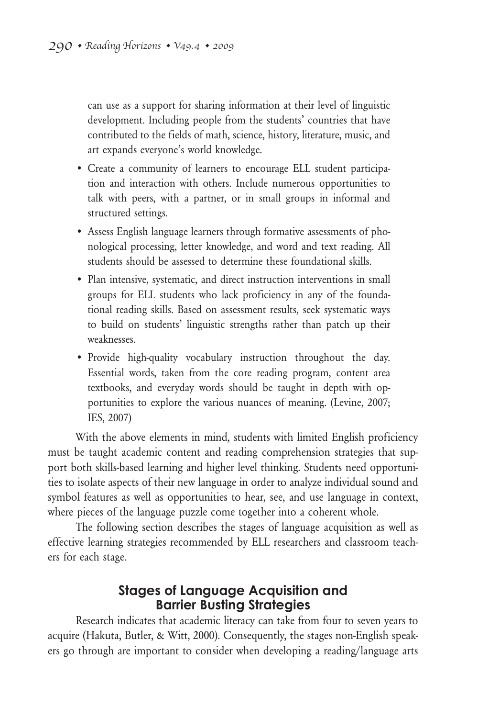can use as a support for sharing information at their level of linguistic development. Including people from the students' countries that have contributed to the fields of math, science, history, literature, music, and art expands everyone's world knowledge.

- • Create a community of learners to encourage ELL student participation and interaction with others. Include numerous opportunities to talk with peers, with a partner, or in small groups in informal and structured settings.
- • Assess English language learners through formative assessments of phonological processing, letter knowledge, and word and text reading. All students should be assessed to determine these foundational skills.
- Plan intensive, systematic, and direct instruction interventions in small groups for ELL students who lack proficiency in any of the foundational reading skills. Based on assessment results, seek systematic ways to build on students' linguistic strengths rather than patch up their weaknesses.
- • Provide high-quality vocabulary instruction throughout the day. Essential words, taken from the core reading program, content area textbooks, and everyday words should be taught in depth with opportunities to explore the various nuances of meaning. (Levine, 2007; IES, 2007)

With the above elements in mind, students with limited English proficiency must be taught academic content and reading comprehension strategies that support both skills-based learning and higher level thinking. Students need opportunities to isolate aspects of their new language in order to analyze individual sound and symbol features as well as opportunities to hear, see, and use language in context, where pieces of the language puzzle come together into a coherent whole.

The following section describes the stages of language acquisition as well as effective learning strategies recommended by ELL researchers and classroom teachers for each stage.

## **Stages of Language Acquisition and Barrier Busting Strategies**

Research indicates that academic literacy can take from four to seven years to acquire (Hakuta, Butler, & Witt, 2000). Consequently, the stages non-English speakers go through are important to consider when developing a reading/language arts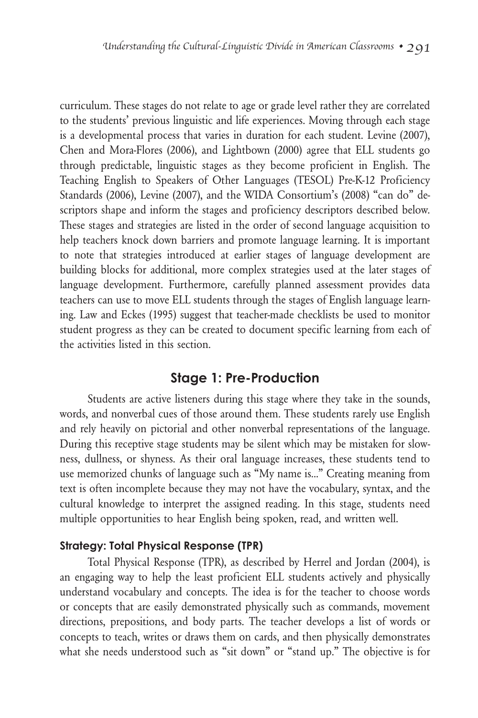curriculum. These stages do not relate to age or grade level rather they are correlated to the students' previous linguistic and life experiences. Moving through each stage is a developmental process that varies in duration for each student. Levine (2007), Chen and Mora-Flores (2006), and Lightbown (2000) agree that ELL students go through predictable, linguistic stages as they become proficient in English. The Teaching English to Speakers of Other Languages (TESOL) Pre-K-12 Proficiency Standards (2006), Levine (2007), and the WIDA Consortium's (2008) "can do" descriptors shape and inform the stages and proficiency descriptors described below. These stages and strategies are listed in the order of second language acquisition to help teachers knock down barriers and promote language learning. It is important to note that strategies introduced at earlier stages of language development are building blocks for additional, more complex strategies used at the later stages of language development. Furthermore, carefully planned assessment provides data teachers can use to move ELL students through the stages of English language learning. Law and Eckes (1995) suggest that teacher-made checklists be used to monitor student progress as they can be created to document specific learning from each of the activities listed in this section.

## **Stage 1: Pre-Production**

Students are active listeners during this stage where they take in the sounds, words, and nonverbal cues of those around them. These students rarely use English and rely heavily on pictorial and other nonverbal representations of the language. During this receptive stage students may be silent which may be mistaken for slowness, dullness, or shyness. As their oral language increases, these students tend to use memorized chunks of language such as "My name is..." Creating meaning from text is often incomplete because they may not have the vocabulary, syntax, and the cultural knowledge to interpret the assigned reading. In this stage, students need multiple opportunities to hear English being spoken, read, and written well.

#### **Strategy: Total Physical Response (TPR)**

Total Physical Response (TPR), as described by Herrel and Jordan (2004), is an engaging way to help the least proficient ELL students actively and physically understand vocabulary and concepts. The idea is for the teacher to choose words or concepts that are easily demonstrated physically such as commands, movement directions, prepositions, and body parts. The teacher develops a list of words or concepts to teach, writes or draws them on cards, and then physically demonstrates what she needs understood such as "sit down" or "stand up." The objective is for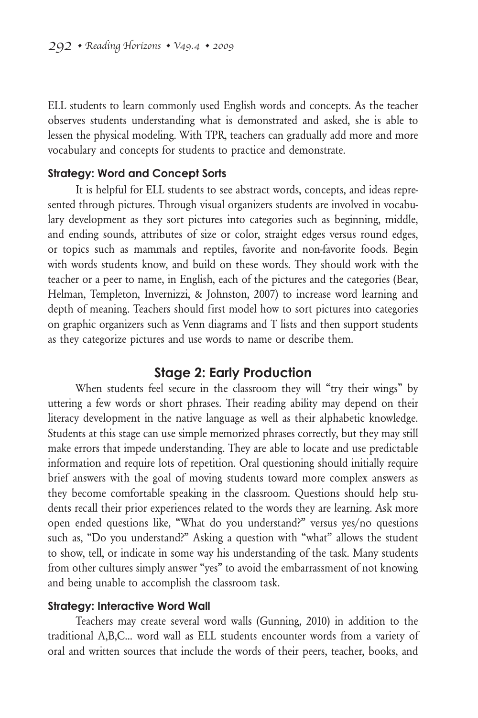ELL students to learn commonly used English words and concepts. As the teacher observes students understanding what is demonstrated and asked, she is able to lessen the physical modeling. With TPR, teachers can gradually add more and more vocabulary and concepts for students to practice and demonstrate.

#### **Strategy: Word and Concept Sorts**

It is helpful for ELL students to see abstract words, concepts, and ideas represented through pictures. Through visual organizers students are involved in vocabulary development as they sort pictures into categories such as beginning, middle, and ending sounds, attributes of size or color, straight edges versus round edges, or topics such as mammals and reptiles, favorite and non-favorite foods. Begin with words students know, and build on these words. They should work with the teacher or a peer to name, in English, each of the pictures and the categories (Bear, Helman, Templeton, Invernizzi, & Johnston, 2007) to increase word learning and depth of meaning. Teachers should first model how to sort pictures into categories on graphic organizers such as Venn diagrams and T lists and then support students as they categorize pictures and use words to name or describe them.

#### **Stage 2: Early Production**

When students feel secure in the classroom they will "try their wings" by uttering a few words or short phrases. Their reading ability may depend on their literacy development in the native language as well as their alphabetic knowledge. Students at this stage can use simple memorized phrases correctly, but they may still make errors that impede understanding. They are able to locate and use predictable information and require lots of repetition. Oral questioning should initially require brief answers with the goal of moving students toward more complex answers as they become comfortable speaking in the classroom. Questions should help students recall their prior experiences related to the words they are learning. Ask more open ended questions like, "What do you understand?" versus yes/no questions such as, "Do you understand?" Asking a question with "what" allows the student to show, tell, or indicate in some way his understanding of the task. Many students from other cultures simply answer "yes" to avoid the embarrassment of not knowing and being unable to accomplish the classroom task.

#### **Strategy: Interactive Word Wall**

Teachers may create several word walls (Gunning, 2010) in addition to the traditional A,B,C… word wall as ELL students encounter words from a variety of oral and written sources that include the words of their peers, teacher, books, and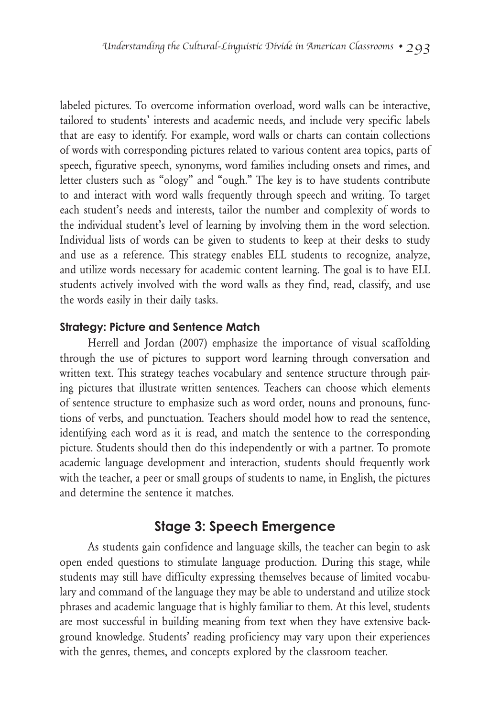labeled pictures. To overcome information overload, word walls can be interactive, tailored to students' interests and academic needs, and include very specific labels that are easy to identify. For example, word walls or charts can contain collections of words with corresponding pictures related to various content area topics, parts of speech, figurative speech, synonyms, word families including onsets and rimes, and letter clusters such as "ology" and "ough." The key is to have students contribute to and interact with word walls frequently through speech and writing. To target each student's needs and interests, tailor the number and complexity of words to the individual student's level of learning by involving them in the word selection. Individual lists of words can be given to students to keep at their desks to study and use as a reference. This strategy enables ELL students to recognize, analyze, and utilize words necessary for academic content learning. The goal is to have ELL students actively involved with the word walls as they find, read, classify, and use the words easily in their daily tasks.

#### **Strategy: Picture and Sentence Match**

Herrell and Jordan (2007) emphasize the importance of visual scaffolding through the use of pictures to support word learning through conversation and written text. This strategy teaches vocabulary and sentence structure through pairing pictures that illustrate written sentences. Teachers can choose which elements of sentence structure to emphasize such as word order, nouns and pronouns, functions of verbs, and punctuation. Teachers should model how to read the sentence, identifying each word as it is read, and match the sentence to the corresponding picture. Students should then do this independently or with a partner. To promote academic language development and interaction, students should frequently work with the teacher, a peer or small groups of students to name, in English, the pictures and determine the sentence it matches.

### **Stage 3: Speech Emergence**

As students gain confidence and language skills, the teacher can begin to ask open ended questions to stimulate language production. During this stage, while students may still have difficulty expressing themselves because of limited vocabulary and command of the language they may be able to understand and utilize stock phrases and academic language that is highly familiar to them. At this level, students are most successful in building meaning from text when they have extensive background knowledge. Students' reading proficiency may vary upon their experiences with the genres, themes, and concepts explored by the classroom teacher.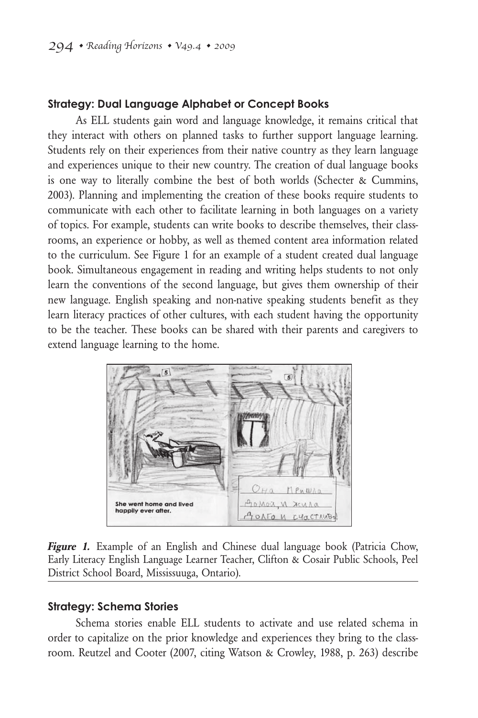#### **Strategy: Dual Language Alphabet or Concept Books**

As ELL students gain word and language knowledge, it remains critical that they interact with others on planned tasks to further support language learning. Students rely on their experiences from their native country as they learn language and experiences unique to their new country. The creation of dual language books is one way to literally combine the best of both worlds (Schecter & Cummins, 2003). Planning and implementing the creation of these books require students to communicate with each other to facilitate learning in both languages on a variety of topics. For example, students can write books to describe themselves, their classrooms, an experience or hobby, as well as themed content area information related to the curriculum. See Figure 1 for an example of a student created dual language book. Simultaneous engagement in reading and writing helps students to not only learn the conventions of the second language, but gives them ownership of their new language. English speaking and non-native speaking students benefit as they learn literacy practices of other cultures, with each student having the opportunity to be the teacher. These books can be shared with their parents and caregivers to extend language learning to the home.



**Figure 1.** Example of an English and Chinese dual language book (Patricia Chow, Early Literacy English Language Learner Teacher, Clifton & Cosair Public Schools, Peel District School Board, Mississuuga, Ontario).

#### **Strategy: Schema Stories**

Schema stories enable ELL students to activate and use related schema in order to capitalize on the prior knowledge and experiences they bring to the classroom. Reutzel and Cooter (2007, citing Watson & Crowley, 1988, p. 263) describe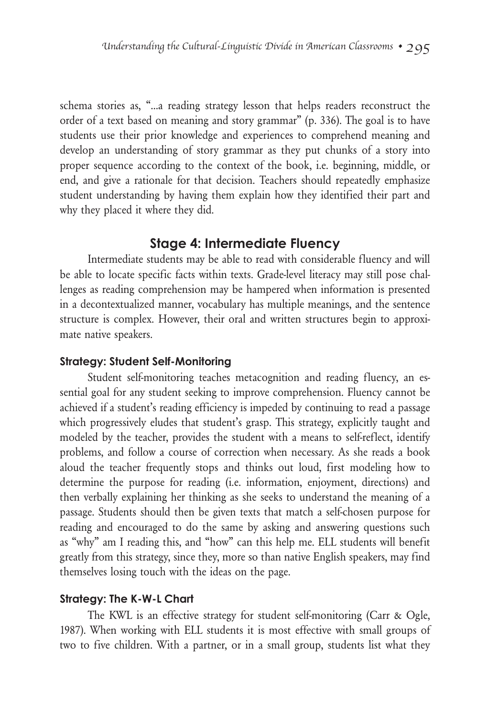schema stories as, "…a reading strategy lesson that helps readers reconstruct the order of a text based on meaning and story grammar" (p. 336). The goal is to have students use their prior knowledge and experiences to comprehend meaning and develop an understanding of story grammar as they put chunks of a story into proper sequence according to the context of the book, i.e. beginning, middle, or end, and give a rationale for that decision. Teachers should repeatedly emphasize student understanding by having them explain how they identified their part and why they placed it where they did.

## **Stage 4: Intermediate Fluency**

Intermediate students may be able to read with considerable fluency and will be able to locate specific facts within texts. Grade-level literacy may still pose challenges as reading comprehension may be hampered when information is presented in a decontextualized manner, vocabulary has multiple meanings, and the sentence structure is complex. However, their oral and written structures begin to approximate native speakers.

#### **Strategy: Student Self-Monitoring**

Student self-monitoring teaches metacognition and reading fluency, an essential goal for any student seeking to improve comprehension. Fluency cannot be achieved if a student's reading efficiency is impeded by continuing to read a passage which progressively eludes that student's grasp. This strategy, explicitly taught and modeled by the teacher, provides the student with a means to self-reflect, identify problems, and follow a course of correction when necessary. As she reads a book aloud the teacher frequently stops and thinks out loud, first modeling how to determine the purpose for reading (i.e. information, enjoyment, directions) and then verbally explaining her thinking as she seeks to understand the meaning of a passage. Students should then be given texts that match a self-chosen purpose for reading and encouraged to do the same by asking and answering questions such as "why" am I reading this, and "how" can this help me. ELL students will benefit greatly from this strategy, since they, more so than native English speakers, may find themselves losing touch with the ideas on the page.

#### **Strategy: The K-W-L Chart**

The KWL is an effective strategy for student self-monitoring (Carr & Ogle, 1987). When working with ELL students it is most effective with small groups of two to five children. With a partner, or in a small group, students list what they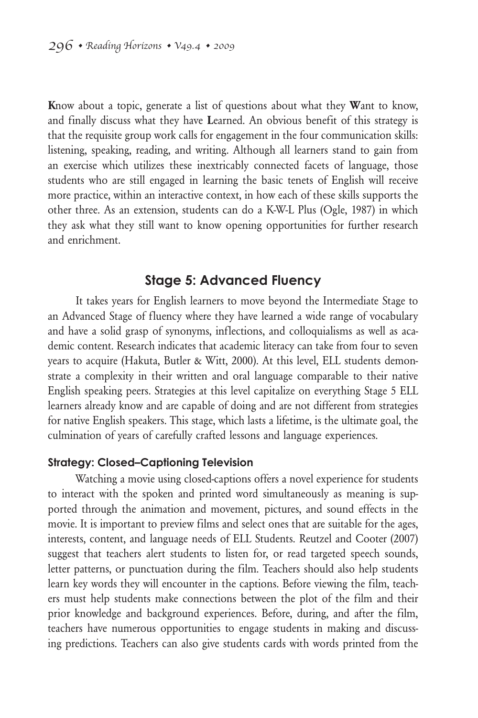**K**now about a topic, generate a list of questions about what they **W**ant to know, and finally discuss what they have **L**earned. An obvious benefit of this strategy is that the requisite group work calls for engagement in the four communication skills: listening, speaking, reading, and writing. Although all learners stand to gain from an exercise which utilizes these inextricably connected facets of language, those students who are still engaged in learning the basic tenets of English will receive more practice, within an interactive context, in how each of these skills supports the other three. As an extension, students can do a K-W-L Plus (Ogle, 1987) in which they ask what they still want to know opening opportunities for further research and enrichment.

## **Stage 5: Advanced Fluency**

It takes years for English learners to move beyond the Intermediate Stage to an Advanced Stage of fluency where they have learned a wide range of vocabulary and have a solid grasp of synonyms, inflections, and colloquialisms as well as academic content. Research indicates that academic literacy can take from four to seven years to acquire (Hakuta, Butler & Witt, 2000). At this level, ELL students demonstrate a complexity in their written and oral language comparable to their native English speaking peers. Strategies at this level capitalize on everything Stage 5 ELL learners already know and are capable of doing and are not different from strategies for native English speakers. This stage, which lasts a lifetime, is the ultimate goal, the culmination of years of carefully crafted lessons and language experiences.

#### **Strategy: Closed–Captioning Television**

Watching a movie using closed-captions offers a novel experience for students to interact with the spoken and printed word simultaneously as meaning is supported through the animation and movement, pictures, and sound effects in the movie. It is important to preview films and select ones that are suitable for the ages, interests, content, and language needs of ELL Students. Reutzel and Cooter (2007) suggest that teachers alert students to listen for, or read targeted speech sounds, letter patterns, or punctuation during the film. Teachers should also help students learn key words they will encounter in the captions. Before viewing the film, teachers must help students make connections between the plot of the film and their prior knowledge and background experiences. Before, during, and after the film, teachers have numerous opportunities to engage students in making and discussing predictions. Teachers can also give students cards with words printed from the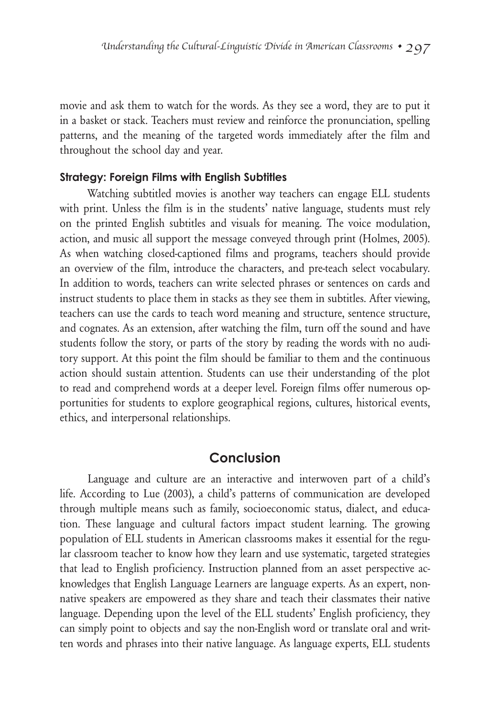movie and ask them to watch for the words. As they see a word, they are to put it in a basket or stack. Teachers must review and reinforce the pronunciation, spelling patterns, and the meaning of the targeted words immediately after the film and throughout the school day and year.

#### **Strategy: Foreign Films with English Subtitles**

Watching subtitled movies is another way teachers can engage ELL students with print. Unless the film is in the students' native language, students must rely on the printed English subtitles and visuals for meaning. The voice modulation, action, and music all support the message conveyed through print (Holmes, 2005). As when watching closed-captioned films and programs, teachers should provide an overview of the film, introduce the characters, and pre-teach select vocabulary. In addition to words, teachers can write selected phrases or sentences on cards and instruct students to place them in stacks as they see them in subtitles. After viewing, teachers can use the cards to teach word meaning and structure, sentence structure, and cognates. As an extension, after watching the film, turn off the sound and have students follow the story, or parts of the story by reading the words with no auditory support. At this point the film should be familiar to them and the continuous action should sustain attention. Students can use their understanding of the plot to read and comprehend words at a deeper level. Foreign films offer numerous opportunities for students to explore geographical regions, cultures, historical events, ethics, and interpersonal relationships.

#### **Conclusion**

Language and culture are an interactive and interwoven part of a child's life. According to Lue (2003), a child's patterns of communication are developed through multiple means such as family, socioeconomic status, dialect, and education. These language and cultural factors impact student learning. The growing population of ELL students in American classrooms makes it essential for the regular classroom teacher to know how they learn and use systematic, targeted strategies that lead to English proficiency. Instruction planned from an asset perspective acknowledges that English Language Learners are language experts. As an expert, nonnative speakers are empowered as they share and teach their classmates their native language. Depending upon the level of the ELL students' English proficiency, they can simply point to objects and say the non-English word or translate oral and written words and phrases into their native language. As language experts, ELL students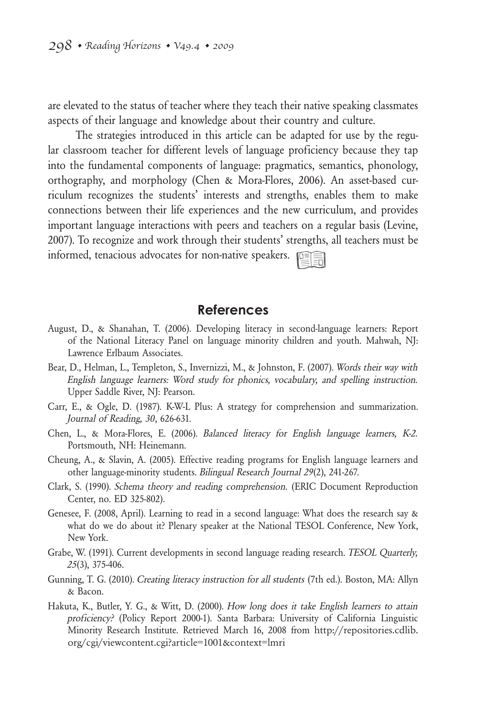are elevated to the status of teacher where they teach their native speaking classmates aspects of their language and knowledge about their country and culture.

The strategies introduced in this article can be adapted for use by the regular classroom teacher for different levels of language proficiency because they tap into the fundamental components of language: pragmatics, semantics, phonology, orthography, and morphology (Chen & Mora-Flores, 2006). An asset-based curriculum recognizes the students' interests and strengths, enables them to make connections between their life experiences and the new curriculum, and provides important language interactions with peers and teachers on a regular basis (Levine, 2007). To recognize and work through their students' strengths, all teachers must be informed, tenacious advocates for non-native speakers.

#### **References**

- August, D., & Shanahan, T. (2006). Developing literacy in second-language learners: Report of the National Literacy Panel on language minority children and youth. Mahwah, NJ: Lawrence Erlbaum Associates.
- Bear, D., Helman, L., Templeton, S., Invernizzi, M., & Johnston, F. (2007). Words their way with English language learners: Word study for phonics, vocabulary, and spelling instruction. Upper Saddle River, NJ: Pearson.
- Carr, E., & Ogle, D. (1987). K-W-L Plus: A strategy for comprehension and summarization. Journal of Reading, 30, 626-631.
- Chen, L., & Mora-Flores, E. (2006). Balanced literacy for English language learners, K-2. Portsmouth, NH: Heinemann.
- Cheung, A., & Slavin, A. (2005). Effective reading programs for English language learners and other language-minority students. Bilingual Research Journal 29(2), 241-267.
- Clark, S. (1990). Schema theory and reading comprehension. (ERIC Document Reproduction Center, no. ED 325-802).
- Genesee, F. (2008, April). Learning to read in a second language: What does the research say & what do we do about it? Plenary speaker at the National TESOL Conference, New York, New York.
- Grabe, W. (1991). Current developments in second language reading research. TESOL Quarterly, 25(3), 375-406.
- Gunning, T. G. (2010). Creating literacy instruction for all students (7th ed.). Boston, MA: Allyn & Bacon.
- Hakuta, K., Butler, Y. G., & Witt, D. (2000). How long does it take English learners to attain proficiency? (Policy Report 2000-1). Santa Barbara: University of California Linguistic Minority Research Institute. Retrieved March 16, 2008 from http://repositories.cdlib. org/cgi/viewcontent.cgi?article=1001&context=lmri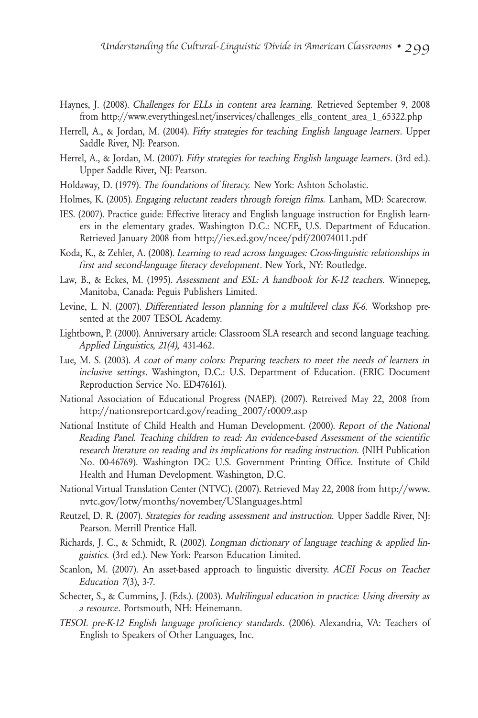- Haynes, J. (2008). Challenges for ELLs in content area learning. Retrieved September 9, 2008 from http://www.everythingesl.net/inservices/challenges\_ells\_content\_area\_1\_65322.php
- Herrell, A., & Jordan, M. (2004). Fifty strategies for teaching English language learners. Upper Saddle River, NJ: Pearson.
- Herrel, A., & Jordan, M. (2007). Fifty strategies for teaching English language learners. (3rd ed.). Upper Saddle River, NJ: Pearson.
- Holdaway, D. (1979). The foundations of literacy. New York: Ashton Scholastic.
- Holmes, K. (2005). Engaging reluctant readers through foreign films. Lanham, MD: Scarecrow.
- IES. (2007). Practice guide: Effective literacy and English language instruction for English learners in the elementary grades. Washington D.C.: NCEE, U.S. Department of Education. Retrieved January 2008 from http://ies.ed.gov/ncee/pdf/20074011.pdf
- Koda, K., & Zehler, A. (2008). Learning to read across languages: Cross-linguistic relationships in first and second-language literacy development. New York, NY: Routledge.
- Law, B., & Eckes, M. (1995). Assessment and ESL: A handbook for K-12 teachers. Winnepeg, Manitoba, Canada: Peguis Publishers Limited.
- Levine, L. N. (2007). Differentiated lesson planning for a multilevel class K-6. Workshop presented at the 2007 TESOL Academy.
- Lightbown, P. (2000). Anniversary article: Classroom SLA research and second language teaching. Applied Linguistics, 21(4), 431-462.
- Lue, M. S. (2003). A coat of many colors: Preparing teachers to meet the needs of learners in inclusive settings. Washington, D.C.: U.S. Department of Education. (ERIC Document Reproduction Service No. ED476161).
- National Association of Educational Progress (NAEP). (2007). Retreived May 22, 2008 from http://nationsreportcard.gov/reading\_2007/r0009.asp
- National Institute of Child Health and Human Development. (2000). Report of the National Reading Panel. Teaching children to read: An evidence-based Assessment of the scientific research literature on reading and its implications for reading instruction. (NIH Publication No. 00-46769). Washington DC: U.S. Government Printing Office. Institute of Child Health and Human Development. Washington, D.C.
- National Virtual Translation Center (NTVC). (2007). Retrieved May 22, 2008 from http://www. nvtc.gov/lotw/months/november/USlanguages.html
- Reutzel, D. R. (2007). Strategies for reading assessment and instruction. Upper Saddle River, NJ: Pearson. Merrill Prentice Hall.
- Richards, J. C., & Schmidt, R. (2002). Longman dictionary of language teaching & applied linguistics. (3rd ed.). New York: Pearson Education Limited.
- Scanlon, M. (2007). An asset-based approach to linguistic diversity. ACEI Focus on Teacher Education 7(3), 3-7.
- Schecter, S., & Cummins, J. (Eds.). (2003). Multilingual education in practice: Using diversity as a resource. Portsmouth, NH: Heinemann.
- TESOL pre-K-12 English language proficiency standards. (2006). Alexandria, VA: Teachers of English to Speakers of Other Languages, Inc.